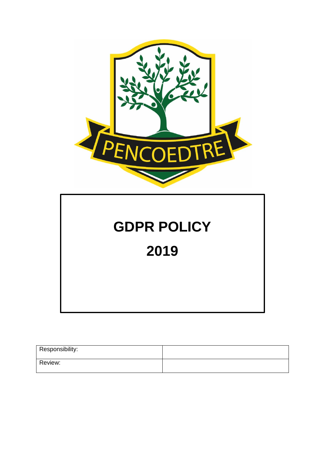

# **GDPR POLICY**

**2019**

| Responsibility: |  |
|-----------------|--|
| Review:         |  |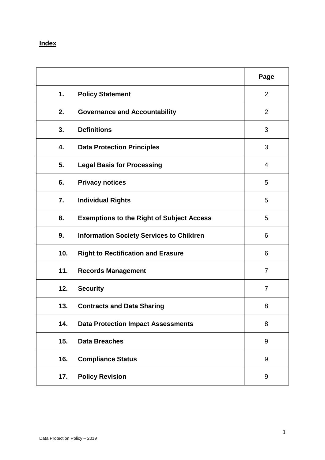## **Index**

|     |                                                  | Page           |
|-----|--------------------------------------------------|----------------|
| 1.  | <b>Policy Statement</b>                          | 2              |
| 2.  | <b>Governance and Accountability</b>             | $\overline{2}$ |
| 3.  | <b>Definitions</b>                               | 3              |
| 4.  | <b>Data Protection Principles</b>                | 3              |
| 5.  | <b>Legal Basis for Processing</b>                | 4              |
| 6.  | <b>Privacy notices</b>                           | 5              |
| 7.  | <b>Individual Rights</b>                         | 5              |
| 8.  | <b>Exemptions to the Right of Subject Access</b> | 5              |
| 9.  | <b>Information Society Services to Children</b>  | 6              |
| 10. | <b>Right to Rectification and Erasure</b>        | 6              |
| 11. | <b>Records Management</b>                        | $\overline{7}$ |
| 12. | <b>Security</b>                                  | $\overline{7}$ |
| 13. | <b>Contracts and Data Sharing</b>                | 8              |
| 14. | <b>Data Protection Impact Assessments</b>        | 8              |
| 15. | <b>Data Breaches</b>                             | 9              |
| 16. | <b>Compliance Status</b>                         | 9              |
| 17. | <b>Policy Revision</b>                           | 9              |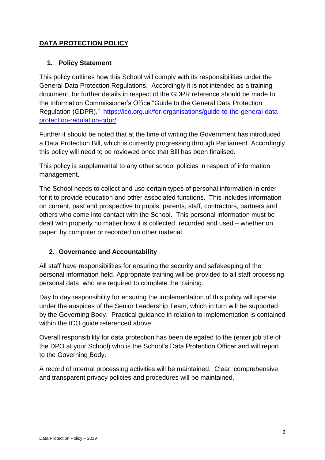## **DATA PROTECTION POLICY**

#### **1. Policy Statement**

This policy outlines how this School will comply with its responsibilities under the General Data Protection Regulations. Accordingly it is not intended as a training document, for further details in respect of the GDPR reference should be made to the Information Commissioner's Office "Guide to the General Data Protection Regulation (GDPR)." [https://ico.org.uk/for-organisations/guide-to-the-general-data](https://ico.org.uk/for-organisations/guide-to-the-general-data-protection-regulation-gdpr/)[protection-regulation-gdpr/](https://ico.org.uk/for-organisations/guide-to-the-general-data-protection-regulation-gdpr/)

Further it should be noted that at the time of writing the Government has introduced a Data Protection Bill, which is currently progressing through Parliament. Accordingly this policy will need to be reviewed once that Bill has been finalised.

This policy is supplemental to any other school policies in respect of information management.

The School needs to collect and use certain types of personal information in order for it to provide education and other associated functions. This includes information on current, past and prospective to pupils, parents, staff, contractors, partners and others who come into contact with the School. This personal information must be dealt with properly no matter how it is collected, recorded and used – whether on paper, by computer or recorded on other material.

#### **2. Governance and Accountability**

All staff have responsibilities for ensuring the security and safekeeping of the personal information held. Appropriate training will be provided to all staff processing personal data, who are required to complete the training.

Day to day responsibility for ensuring the implementation of this policy will operate under the auspices of the Senior Leadership Team, which in turn will be supported by the Governing Body. Practical guidance in relation to implementation is contained within the ICO guide referenced above.

Overall responsibility for data protection has been delegated to the (enter job title of the DPO at your School) who is the School's Data Protection Officer and will report to the Governing Body.

A record of internal processing activities will be maintained. Clear, comprehensive and transparent privacy policies and procedures will be maintained.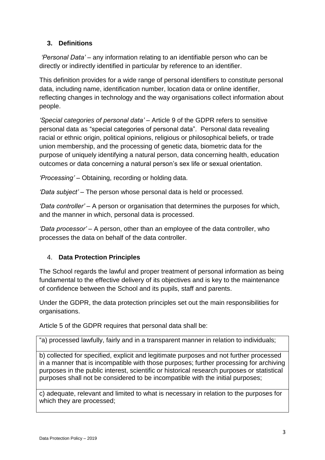## **3. Definitions**

*'Personal Data' –* any information relating to an identifiable person who can be directly or indirectly identified in particular by reference to an identifier.

This definition provides for a wide range of personal identifiers to constitute personal data, including name, identification number, location data or online identifier, reflecting changes in technology and the way organisations collect information about people.

*'Special categories of personal data'* – Article 9 of the GDPR refers to sensitive personal data as "special categories of personal data". Personal data revealing racial or ethnic origin, political opinions, religious or philosophical beliefs, or trade union membership, and the processing of genetic data, biometric data for the purpose of uniquely identifying a natural person, data concerning health, education outcomes or data concerning a natural person's sex life or sexual orientation.

*'Processing' –* Obtaining, recording or holding data.

*'Data subject' –* The person whose personal data is held or processed.

*'Data controller' –* A person or organisation that determines the purposes for which, and the manner in which, personal data is processed.

*'Data processor' –* A person, other than an employee of the data controller, who processes the data on behalf of the data controller.

#### 4. **Data Protection Principles**

The School regards the lawful and proper treatment of personal information as being fundamental to the effective delivery of its objectives and is key to the maintenance of confidence between the School and its pupils, staff and parents.

Under the GDPR, the data protection principles set out the main responsibilities for organisations.

Article 5 of the GDPR requires that personal data shall be:

"a) processed lawfully, fairly and in a transparent manner in relation to individuals;

b) collected for specified, explicit and legitimate purposes and not further processed in a manner that is incompatible with those purposes; further processing for archiving purposes in the public interest, scientific or historical research purposes or statistical purposes shall not be considered to be incompatible with the initial purposes;

c) adequate, relevant and limited to what is necessary in relation to the purposes for which they are processed;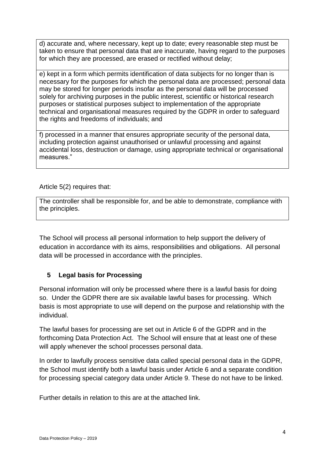d) accurate and, where necessary, kept up to date; every reasonable step must be taken to ensure that personal data that are inaccurate, having regard to the purposes for which they are processed, are erased or rectified without delay;

e) kept in a form which permits identification of data subjects for no longer than is necessary for the purposes for which the personal data are processed; personal data may be stored for longer periods insofar as the personal data will be processed solely for archiving purposes in the public interest, scientific or historical research purposes or statistical purposes subject to implementation of the appropriate technical and organisational measures required by the GDPR in order to safeguard the rights and freedoms of individuals; and

f) processed in a manner that ensures appropriate security of the personal data, including protection against unauthorised or unlawful processing and against accidental loss, destruction or damage, using appropriate technical or organisational measures."

Article 5(2) requires that:

The controller shall be responsible for, and be able to demonstrate, compliance with the principles.

The School will process all personal information to help support the delivery of education in accordance with its aims, responsibilities and obligations. All personal data will be processed in accordance with the principles.

#### **5 Legal basis for Processing**

Personal information will only be processed where there is a lawful basis for doing so. Under the GDPR there are six available lawful bases for processing. Which basis is most appropriate to use will depend on the purpose and relationship with the individual.

The lawful bases for processing are set out in Article 6 of the GDPR and in the forthcoming Data Protection Act. The School will ensure that at least one of these will apply whenever the school processes personal data.

In order to lawfully process sensitive data called special personal data in the GDPR, the School must identify both a lawful basis under Article 6 and a separate condition for processing special category data under Article 9. These do not have to be linked.

Further details in relation to this are at the attached link.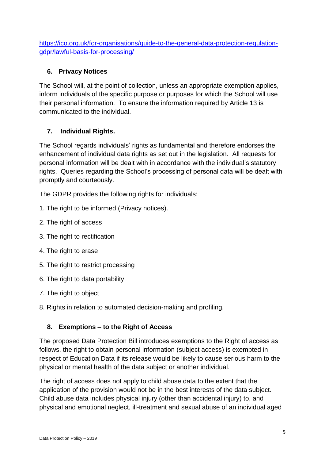[https://ico.org.uk/for-organisations/guide-to-the-general-data-protection-regulation](https://ico.org.uk/for-organisations/guide-to-the-general-data-protection-regulation-gdpr/lawful-basis-for-processing/)[gdpr/lawful-basis-for-processing/](https://ico.org.uk/for-organisations/guide-to-the-general-data-protection-regulation-gdpr/lawful-basis-for-processing/)

## **6. Privacy Notices**

The School will, at the point of collection, unless an appropriate exemption applies, inform individuals of the specific purpose or purposes for which the School will use their personal information. To ensure the information required by Article 13 is communicated to the individual.

## **7. Individual Rights.**

The School regards individuals' rights as fundamental and therefore endorses the enhancement of individual data rights as set out in the legislation. All requests for personal information will be dealt with in accordance with the individual's statutory rights. Queries regarding the School's processing of personal data will be dealt with promptly and courteously.

The GDPR provides the following rights for individuals:

- 1. The right to be informed (Privacy notices).
- 2. The right of access
- 3. The right to rectification
- 4. The right to erase
- 5. The right to restrict processing
- 6. The right to data portability
- 7. The right to object
- 8. Rights in relation to automated decision-making and profiling.

#### **8. Exemptions – to the Right of Access**

The proposed Data Protection Bill introduces exemptions to the Right of access as follows, the right to obtain personal information (subject access) is exempted in respect of Education Data if its release would be likely to cause serious harm to the physical or mental health of the data subject or another individual.

The right of access does not apply to child abuse data to the extent that the application of the provision would not be in the best interests of the data subject. Child abuse data includes physical injury (other than accidental injury) to, and physical and emotional neglect, ill-treatment and sexual abuse of an individual aged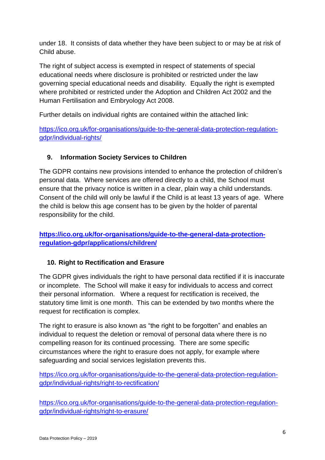under 18. It consists of data whether they have been subject to or may be at risk of Child abuse.

The right of subject access is exempted in respect of statements of special educational needs where disclosure is prohibited or restricted under the law governing special educational needs and disability. Equally the right is exempted where prohibited or restricted under the Adoption and Children Act 2002 and the Human Fertilisation and Embryology Act 2008.

Further details on individual rights are contained within the attached link:

[https://ico.org.uk/for-organisations/guide-to-the-general-data-protection-regulation](https://ico.org.uk/for-organisations/guide-to-the-general-data-protection-regulation-gdpr/individual-rights/)[gdpr/individual-rights/](https://ico.org.uk/for-organisations/guide-to-the-general-data-protection-regulation-gdpr/individual-rights/)

## **9. Information Society Services to Children**

The GDPR contains new provisions intended to enhance the protection of children's personal data. Where services are offered directly to a child, the School must ensure that the privacy notice is written in a clear, plain way a child understands. Consent of the child will only be lawful if the Child is at least 13 years of age. Where the child is below this age consent has to be given by the holder of parental responsibility for the child.

## **[https://ico.org.uk/for-organisations/guide-to-the-general-data-protection](https://ico.org.uk/for-organisations/guide-to-the-general-data-protection-regulation-gdpr/applications/children/)[regulation-gdpr/applications/children/](https://ico.org.uk/for-organisations/guide-to-the-general-data-protection-regulation-gdpr/applications/children/)**

## **10. Right to Rectification and Erasure**

The GDPR gives individuals the right to have personal data rectified if it is inaccurate or incomplete. The School will make it easy for individuals to access and correct their personal information. Where a request for rectification is received, the statutory time limit is one month. This can be extended by two months where the request for rectification is complex.

The right to erasure is also known as "the right to be forgotten" and enables an individual to request the deletion or removal of personal data where there is no compelling reason for its continued processing. There are some specific circumstances where the right to erasure does not apply, for example where safeguarding and social services legislation prevents this.

[https://ico.org.uk/for-organisations/guide-to-the-general-data-protection-regulation](https://ico.org.uk/for-organisations/guide-to-the-general-data-protection-regulation-gdpr/individual-rights/right-to-rectification/)[gdpr/individual-rights/right-to-rectification/](https://ico.org.uk/for-organisations/guide-to-the-general-data-protection-regulation-gdpr/individual-rights/right-to-rectification/)

[https://ico.org.uk/for-organisations/guide-to-the-general-data-protection-regulation](https://ico.org.uk/for-organisations/guide-to-the-general-data-protection-regulation-gdpr/individual-rights/right-to-erasure/)[gdpr/individual-rights/right-to-erasure/](https://ico.org.uk/for-organisations/guide-to-the-general-data-protection-regulation-gdpr/individual-rights/right-to-erasure/)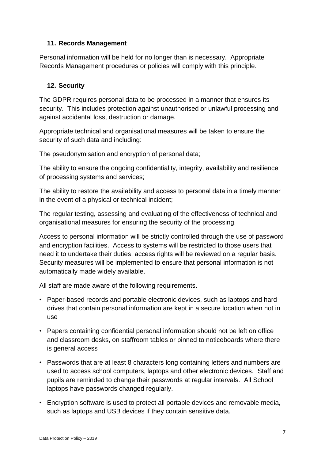#### **11. Records Management**

Personal information will be held for no longer than is necessary. Appropriate Records Management procedures or policies will comply with this principle.

#### **12. Security**

The GDPR requires personal data to be processed in a manner that ensures its security. This includes protection against unauthorised or unlawful processing and against accidental loss, destruction or damage.

Appropriate technical and organisational measures will be taken to ensure the security of such data and including:

The pseudonymisation and encryption of personal data;

The ability to ensure the ongoing confidentiality, integrity, availability and resilience of processing systems and services;

The ability to restore the availability and access to personal data in a timely manner in the event of a physical or technical incident;

The regular testing, assessing and evaluating of the effectiveness of technical and organisational measures for ensuring the security of the processing.

Access to personal information will be strictly controlled through the use of password and encryption facilities. Access to systems will be restricted to those users that need it to undertake their duties, access rights will be reviewed on a regular basis. Security measures will be implemented to ensure that personal information is not automatically made widely available.

All staff are made aware of the following requirements.

- Paper-based records and portable electronic devices, such as laptops and hard drives that contain personal information are kept in a secure location when not in use
- Papers containing confidential personal information should not be left on office and classroom desks, on staffroom tables or pinned to noticeboards where there is general access
- Passwords that are at least 8 characters long containing letters and numbers are used to access school computers, laptops and other electronic devices. Staff and pupils are reminded to change their passwords at regular intervals. All School laptops have passwords changed regularly.
- Encryption software is used to protect all portable devices and removable media, such as laptops and USB devices if they contain sensitive data.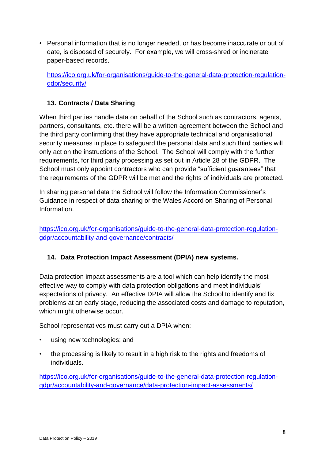• Personal information that is no longer needed, or has become inaccurate or out of date, is disposed of securely. For example, we will cross-shred or incinerate paper-based records.

[https://ico.org.uk/for-organisations/guide-to-the-general-data-protection-regulation](https://ico.org.uk/for-organisations/guide-to-the-general-data-protection-regulation-gdpr/security/)[gdpr/security/](https://ico.org.uk/for-organisations/guide-to-the-general-data-protection-regulation-gdpr/security/)

## **13. Contracts / Data Sharing**

When third parties handle data on behalf of the School such as contractors, agents, partners, consultants, etc. there will be a written agreement between the School and the third party confirming that they have appropriate technical and organisational security measures in place to safeguard the personal data and such third parties will only act on the instructions of the School. The School will comply with the further requirements, for third party processing as set out in Article 28 of the GDPR. The School must only appoint contractors who can provide "sufficient guarantees" that the requirements of the GDPR will be met and the rights of individuals are protected.

In sharing personal data the School will follow the Information Commissioner's Guidance in respect of data sharing or the Wales Accord on Sharing of Personal Information.

[https://ico.org.uk/for-organisations/guide-to-the-general-data-protection-regulation](https://ico.org.uk/for-organisations/guide-to-the-general-data-protection-regulation-gdpr/accountability-and-governance/contracts/)[gdpr/accountability-and-governance/contracts/](https://ico.org.uk/for-organisations/guide-to-the-general-data-protection-regulation-gdpr/accountability-and-governance/contracts/)

#### **14. Data Protection Impact Assessment (DPIA) new systems.**

Data protection impact assessments are a tool which can help identify the most effective way to comply with data protection obligations and meet individuals' expectations of privacy. An effective DPIA will allow the School to identify and fix problems at an early stage, reducing the associated costs and damage to reputation, which might otherwise occur.

School representatives must carry out a DPIA when:

- using new technologies; and
- the processing is likely to result in a high risk to the rights and freedoms of individuals.

[https://ico.org.uk/for-organisations/guide-to-the-general-data-protection-regulation](https://ico.org.uk/for-organisations/guide-to-the-general-data-protection-regulation-gdpr/accountability-and-governance/data-protection-impact-assessments/)[gdpr/accountability-and-governance/data-protection-impact-assessments/](https://ico.org.uk/for-organisations/guide-to-the-general-data-protection-regulation-gdpr/accountability-and-governance/data-protection-impact-assessments/)